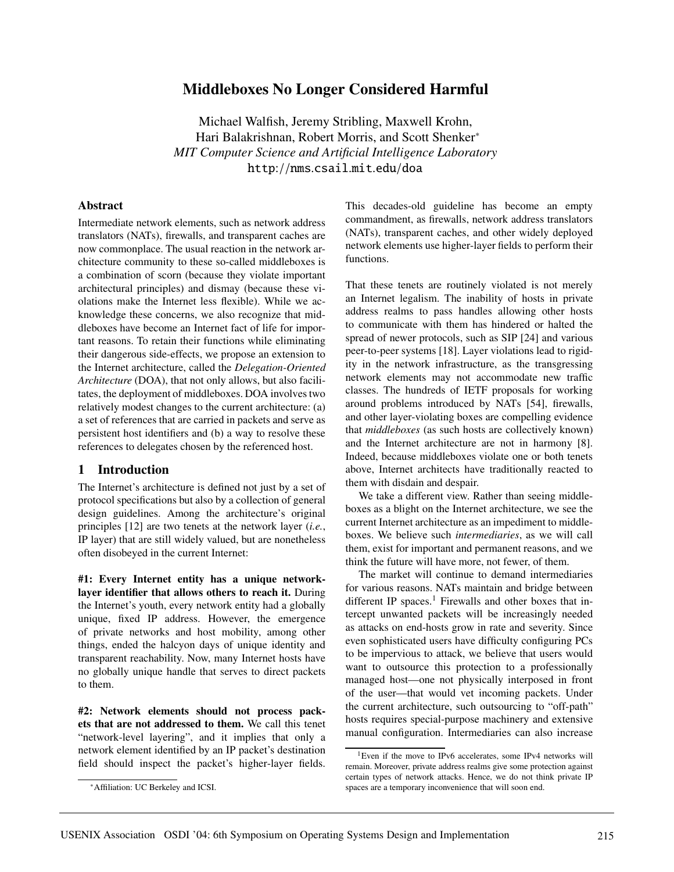# **Middleboxes No Longer Considered Harmful**

Michael Walfish, Jeremy Stribling, Maxwell Krohn, Hari Balakrishnan, Robert Morris, and Scott Shenker<sup>∗</sup> *MIT Computer Science and Artificial Intelligence Laboratory* http://nms.csail.mit.edu/doa

## **Abstract**

Intermediate network elements, such as network address translators (NATs), firewalls, and transparent caches are now commonplace. The usual reaction in the network architecture community to these so-called middleboxes is a combination of scorn (because they violate important architectural principles) and dismay (because these violations make the Internet less flexible). While we acknowledge these concerns, we also recognize that middleboxes have become an Internet fact of life for important reasons. To retain their functions while eliminating their dangerous side-effects, we propose an extension to the Internet architecture, called the *Delegation-Oriented Architecture* (DOA), that not only allows, but also facilitates, the deployment of middleboxes. DOA involves two relatively modest changes to the current architecture: (a) a set of references that are carried in packets and serve as persistent host identifiers and (b) a way to resolve these references to delegates chosen by the referenced host.

## **1 Introduction**

The Internet's architecture is defined not just by a set of protocol specifications but also by a collection of general design guidelines. Among the architecture's original principles [12] are two tenets at the network layer (*i.e.*, IP layer) that are still widely valued, but are nonetheless often disobeyed in the current Internet:

**#1: Every Internet entity has a unique networklayer identifier that allows others to reach it.** During the Internet's youth, every network entity had a globally unique, fixed IP address. However, the emergence of private networks and host mobility, among other things, ended the halcyon days of unique identity and transparent reachability. Now, many Internet hosts have no globally unique handle that serves to direct packets to them.

**#2: Network elements should not process packets that are not addressed to them.** We call this tenet "network-level layering", and it implies that only a network element identified by an IP packet's destination field should inspect the packet's higher-layer fields.

This decades-old guideline has become an empty commandment, as firewalls, network address translators (NATs), transparent caches, and other widely deployed network elements use higher-layer fields to perform their functions.

That these tenets are routinely violated is not merely an Internet legalism. The inability of hosts in private address realms to pass handles allowing other hosts to communicate with them has hindered or halted the spread of newer protocols, such as SIP [24] and various peer-to-peer systems [18]. Layer violations lead to rigidity in the network infrastructure, as the transgressing network elements may not accommodate new traffic classes. The hundreds of IETF proposals for working around problems introduced by NATs [54], firewalls, and other layer-violating boxes are compelling evidence that *middleboxes* (as such hosts are collectively known) and the Internet architecture are not in harmony [8]. Indeed, because middleboxes violate one or both tenets above, Internet architects have traditionally reacted to them with disdain and despair.

We take a different view. Rather than seeing middleboxes as a blight on the Internet architecture, we see the current Internet architecture as an impediment to middleboxes. We believe such *intermediaries*, as we will call them, exist for important and permanent reasons, and we think the future will have more, not fewer, of them.

The market will continue to demand intermediaries for various reasons. NATs maintain and bridge between different IP spaces.<sup>1</sup> Firewalls and other boxes that intercept unwanted packets will be increasingly needed as attacks on end-hosts grow in rate and severity. Since even sophisticated users have difficulty configuring PCs to be impervious to attack, we believe that users would want to outsource this protection to a professionally managed host—one not physically interposed in front of the user—that would vet incoming packets. Under the current architecture, such outsourcing to "off-path" hosts requires special-purpose machinery and extensive manual configuration. Intermediaries can also increase

<sup>∗</sup>Affiliation: UC Berkeley and ICSI.

<sup>&</sup>lt;sup>1</sup>Even if the move to IPv6 accelerates, some IPv4 networks will remain. Moreover, private address realms give some protection against certain types of network attacks. Hence, we do not think private IP spaces are a temporary inconvenience that will soon end.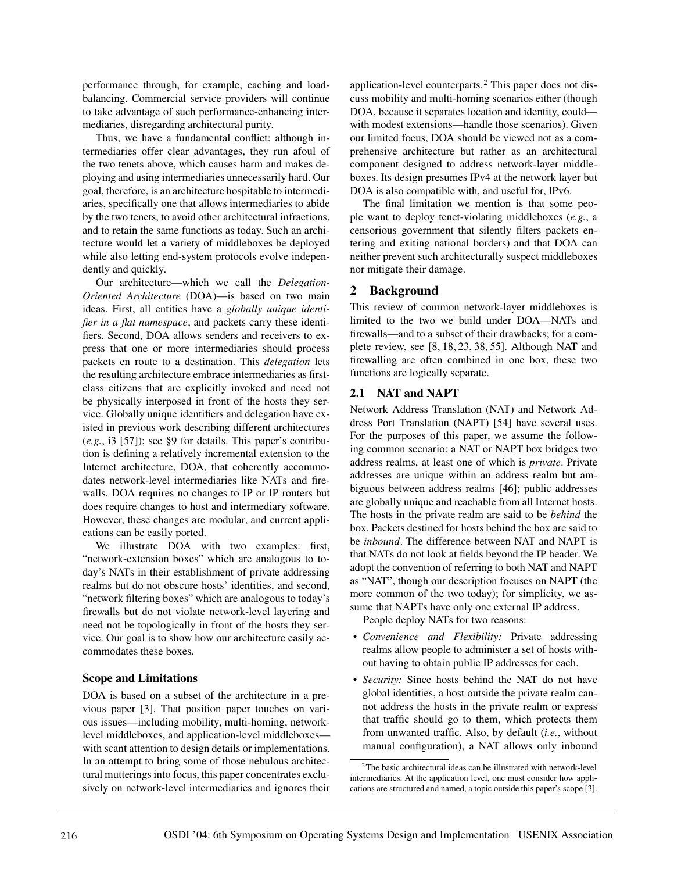performance through, for example, caching and loadbalancing. Commercial service providers will continue to take advantage of such performance-enhancing intermediaries, disregarding architectural purity.

Thus, we have a fundamental conflict: although intermediaries offer clear advantages, they run afoul of the two tenets above, which causes harm and makes deploying and using intermediaries unnecessarily hard. Our goal, therefore, is an architecture hospitable to intermediaries, specifically one that allows intermediaries to abide by the two tenets, to avoid other architectural infractions, and to retain the same functions as today. Such an architecture would let a variety of middleboxes be deployed while also letting end-system protocols evolve independently and quickly.

Our architecture—which we call the *Delegation-Oriented Architecture* (DOA)—is based on two main ideas. First, all entities have a *globally unique identifier in a flat namespace*, and packets carry these identifiers. Second, DOA allows senders and receivers to express that one or more intermediaries should process packets en route to a destination. This *delegation* lets the resulting architecture embrace intermediaries as firstclass citizens that are explicitly invoked and need not be physically interposed in front of the hosts they service. Globally unique identifiers and delegation have existed in previous work describing different architectures (*e.g.*, i3 [57]); see §9 for details. This paper's contribution is defining a relatively incremental extension to the Internet architecture, DOA, that coherently accommodates network-level intermediaries like NATs and firewalls. DOA requires no changes to IP or IP routers but does require changes to host and intermediary software. However, these changes are modular, and current applications can be easily ported.

We illustrate DOA with two examples: first, "network-extension boxes" which are analogous to today's NATs in their establishment of private addressing realms but do not obscure hosts' identities, and second, "network filtering boxes" which are analogous to today's firewalls but do not violate network-level layering and need not be topologically in front of the hosts they service. Our goal is to show how our architecture easily accommodates these boxes.

## **Scope and Limitations**

DOA is based on a subset of the architecture in a previous paper [3]. That position paper touches on various issues—including mobility, multi-homing, networklevel middleboxes, and application-level middleboxes with scant attention to design details or implementations. In an attempt to bring some of those nebulous architectural mutterings into focus, this paper concentrates exclusively on network-level intermediaries and ignores their

application-level counterparts.<sup>2</sup> This paper does not discuss mobility and multi-homing scenarios either (though DOA, because it separates location and identity, could with modest extensions—handle those scenarios). Given our limited focus, DOA should be viewed not as a comprehensive architecture but rather as an architectural component designed to address network-layer middleboxes. Its design presumes IPv4 at the network layer but DOA is also compatible with, and useful for, IPv6.

The final limitation we mention is that some people want to deploy tenet-violating middleboxes (*e.g.*, a censorious government that silently filters packets entering and exiting national borders) and that DOA can neither prevent such architecturally suspect middleboxes nor mitigate their damage.

# **2 Background**

This review of common network-layer middleboxes is limited to the two we build under DOA—NATs and firewalls—and to a subset of their drawbacks; for a complete review, see [8, 18, 23, 38, 55]. Although NAT and firewalling are often combined in one box, these two functions are logically separate.

# **2.1 NAT and NAPT**

Network Address Translation (NAT) and Network Address Port Translation (NAPT) [54] have several uses. For the purposes of this paper, we assume the following common scenario: a NAT or NAPT box bridges two address realms, at least one of which is *private*. Private addresses are unique within an address realm but ambiguous between address realms [46]; public addresses are globally unique and reachable from all Internet hosts. The hosts in the private realm are said to be *behind* the box. Packets destined for hosts behind the box are said to be *inbound*. The difference between NAT and NAPT is that NATs do not look at fields beyond the IP header. We adopt the convention of referring to both NAT and NAPT as "NAT", though our description focuses on NAPT (the more common of the two today); for simplicity, we assume that NAPTs have only one external IP address.

People deploy NATs for two reasons:

- *Convenience and Flexibility:* Private addressing realms allow people to administer a set of hosts without having to obtain public IP addresses for each.
- *Security:* Since hosts behind the NAT do not have global identities, a host outside the private realm cannot address the hosts in the private realm or express that traffic should go to them, which protects them from unwanted traffic. Also, by default (*i.e.*, without manual configuration), a NAT allows only inbound

<sup>2</sup>The basic architectural ideas can be illustrated with network-level intermediaries. At the application level, one must consider how applications are structured and named, a topic outside this paper's scope [3].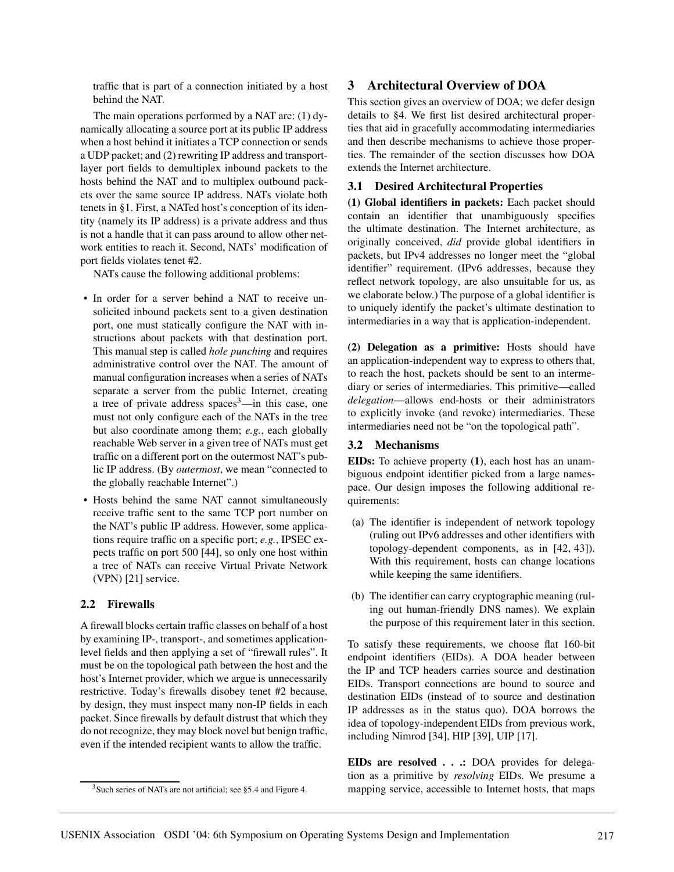traffic that is part of a connection initiated by a host behind the NAT.

The main operations performed by a NAT are: (1) dynamically allocating a source port at its public IP address when a host behind it initiates a TCP connection or sends a UDP packet; and (2) rewriting IP address and transportlayer port fields to demultiplex inbound packets to the hosts behind the NAT and to multiplex outbound packets over the same source IP address. NATs violate both tenets in §1. First, a NATed host's conception of its identity (namely its IP address) is a private address and thus is not a handle that it can pass around to allow other network entities to reach it. Second, NATs' modification of port fields violates tenet #2.

NATs cause the following additional problems:

- In order for a server behind a NAT to receive unsolicited inbound packets sent to a given destination port, one must statically configure the NAT with instructions about packets with that destination port. This manual step is called *hole punching* and requires administrative control over the NAT. The amount of manual configuration increases when a series of NATs separate a server from the public Internet, creating a tree of private address spaces<sup>3</sup>—in this case, one must not only configure each of the NATs in the tree but also coordinate among them; *e.g.*, each globally reachable Web server in a given tree of NATs must get traffic on a different port on the outermost NAT's public IP address. (By *outermost*, we mean "connected to the globally reachable Internet".)
- Hosts behind the same NAT cannot simultaneously receive traffic sent to the same TCP port number on the NAT's public IP address. However, some applications require traffic on a specific port; *e.g.*, IPSEC expects traffic on port 500 [44], so only one host within a tree of NATs can receive Virtual Private Network (VPN) [21] service.

## **2.2 Firewalls**

A firewall blocks certain traffic classes on behalf of a host by examining IP-, transport-, and sometimes applicationlevel fields and then applying a set of "firewall rules". It must be on the topological path between the host and the host's Internet provider, which we argue is unnecessarily restrictive. Today's firewalls disobey tenet #2 because, by design, they must inspect many non-IP fields in each packet. Since firewalls by default distrust that which they do not recognize, they may block novel but benign traffic, even if the intended recipient wants to allow the traffic.

## **3 Architectural Overview of DOA**

This section gives an overview of DOA; we defer design details to §4. We first list desired architectural properties that aid in gracefully accommodating intermediaries and then describe mechanisms to achieve those properties. The remainder of the section discusses how DOA extends the Internet architecture.

## **3.1 Desired Architectural Properties**

**(1) Global identifiers in packets:** Each packet should contain an identifier that unambiguously specifies the ultimate destination. The Internet architecture, as originally conceived, *did* provide global identifiers in packets, but IPv4 addresses no longer meet the "global identifier" requirement. (IPv6 addresses, because they reflect network topology, are also unsuitable for us, as we elaborate below.) The purpose of a global identifier is to uniquely identify the packet's ultimate destination to intermediaries in a way that is application-independent.

**(2) Delegation as a primitive:** Hosts should have an application-independent way to express to others that, to reach the host, packets should be sent to an intermediary or series of intermediaries. This primitive—called *delegation*—allows end-hosts or their administrators to explicitly invoke (and revoke) intermediaries. These intermediaries need not be "on the topological path".

### **3.2 Mechanisms**

**EIDs:** To achieve property **(1)**, each host has an unambiguous endpoint identifier picked from a large namespace. Our design imposes the following additional requirements:

- (a) The identifier is independent of network topology (ruling out IPv6 addresses and other identifiers with topology-dependent components, as in [42, 43]). With this requirement, hosts can change locations while keeping the same identifiers.
- (b) The identifier can carry cryptographic meaning (ruling out human-friendly DNS names). We explain the purpose of this requirement later in this section.

To satisfy these requirements, we choose flat 160-bit endpoint identifiers (EIDs). A DOA header between the IP and TCP headers carries source and destination EIDs. Transport connections are bound to source and destination EIDs (instead of to source and destination IP addresses as in the status quo). DOA borrows the idea of topology-independent EIDs from previous work, including Nimrod [34], HIP [39], UIP [17].

**EIDs are resolved . . .:** DOA provides for delegation as a primitive by *resolving* EIDs. We presume a mapping service, accessible to Internet hosts, that maps

<sup>&</sup>lt;sup>3</sup> Such series of NATs are not artificial; see §5.4 and Figure 4.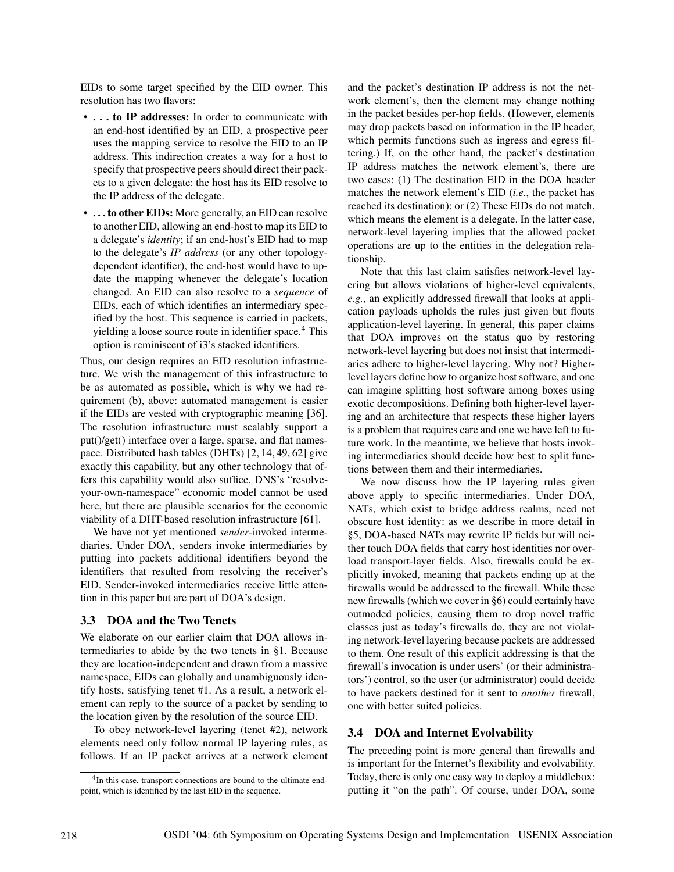EIDs to some target specified by the EID owner. This resolution has two flavors:

- **. . . to IP addresses:** In order to communicate with an end-host identified by an EID, a prospective peer uses the mapping service to resolve the EID to an IP address. This indirection creates a way for a host to specify that prospective peers should direct their packets to a given delegate: the host has its EID resolve to the IP address of the delegate.
- **. . . to other EIDs:** More generally, an EID can resolve to another EID, allowing an end-host to map its EID to a delegate's *identity*; if an end-host's EID had to map to the delegate's *IP address* (or any other topologydependent identifier), the end-host would have to update the mapping whenever the delegate's location changed. An EID can also resolve to a *sequence* of EIDs, each of which identifies an intermediary specified by the host. This sequence is carried in packets, yielding a loose source route in identifier space.<sup>4</sup> This option is reminiscent of i3's stacked identifiers.

Thus, our design requires an EID resolution infrastructure. We wish the management of this infrastructure to be as automated as possible, which is why we had requirement (b), above: automated management is easier if the EIDs are vested with cryptographic meaning [36]. The resolution infrastructure must scalably support a put()/get() interface over a large, sparse, and flat namespace. Distributed hash tables (DHTs) [2, 14, 49, 62] give exactly this capability, but any other technology that offers this capability would also suffice. DNS's "resolveyour-own-namespace" economic model cannot be used here, but there are plausible scenarios for the economic viability of a DHT-based resolution infrastructure [61].

We have not yet mentioned *sender*-invoked intermediaries. Under DOA, senders invoke intermediaries by putting into packets additional identifiers beyond the identifiers that resulted from resolving the receiver's EID. Sender-invoked intermediaries receive little attention in this paper but are part of DOA's design.

#### **3.3 DOA and the Two Tenets**

We elaborate on our earlier claim that DOA allows intermediaries to abide by the two tenets in §1. Because they are location-independent and drawn from a massive namespace, EIDs can globally and unambiguously identify hosts, satisfying tenet #1. As a result, a network element can reply to the source of a packet by sending to the location given by the resolution of the source EID.

To obey network-level layering (tenet #2), network elements need only follow normal IP layering rules, as follows. If an IP packet arrives at a network element

and the packet's destination IP address is not the network element's, then the element may change nothing in the packet besides per-hop fields. (However, elements may drop packets based on information in the IP header, which permits functions such as ingress and egress filtering.) If, on the other hand, the packet's destination IP address matches the network element's, there are two cases: (1) The destination EID in the DOA header matches the network element's EID (*i.e.*, the packet has reached its destination); or (2) These EIDs do not match, which means the element is a delegate. In the latter case, network-level layering implies that the allowed packet operations are up to the entities in the delegation relationship.

Note that this last claim satisfies network-level layering but allows violations of higher-level equivalents, *e.g.*, an explicitly addressed firewall that looks at application payloads upholds the rules just given but flouts application-level layering. In general, this paper claims that DOA improves on the status quo by restoring network-level layering but does not insist that intermediaries adhere to higher-level layering. Why not? Higherlevel layers define how to organize host software, and one can imagine splitting host software among boxes using exotic decompositions. Defining both higher-level layering and an architecture that respects these higher layers is a problem that requires care and one we have left to future work. In the meantime, we believe that hosts invoking intermediaries should decide how best to split functions between them and their intermediaries.

We now discuss how the IP layering rules given above apply to specific intermediaries. Under DOA, NATs, which exist to bridge address realms, need not obscure host identity: as we describe in more detail in §5, DOA-based NATs may rewrite IP fields but will neither touch DOA fields that carry host identities nor overload transport-layer fields. Also, firewalls could be explicitly invoked, meaning that packets ending up at the firewalls would be addressed to the firewall. While these new firewalls (which we cover in §6) could certainly have outmoded policies, causing them to drop novel traffic classes just as today's firewalls do, they are not violating network-level layering because packets are addressed to them. One result of this explicit addressing is that the firewall's invocation is under users' (or their administrators') control, so the user (or administrator) could decide to have packets destined for it sent to *another* firewall, one with better suited policies.

## **3.4 DOA and Internet Evolvability**

The preceding point is more general than firewalls and is important for the Internet's flexibility and evolvability. Today, there is only one easy way to deploy a middlebox: putting it "on the path". Of course, under DOA, some

<sup>&</sup>lt;sup>4</sup>In this case, transport connections are bound to the ultimate endpoint, which is identified by the last EID in the sequence.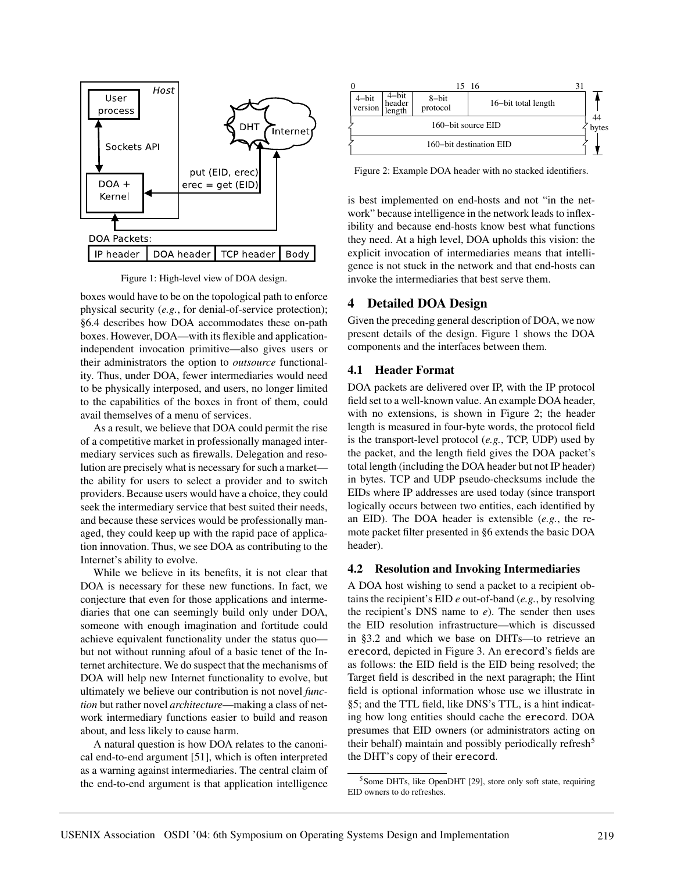

Figure 1: High-level view of DOA design.

boxes would have to be on the topological path to enforce physical security (*e.g.*, for denial-of-service protection); §6.4 describes how DOA accommodates these on-path boxes. However, DOA—with its flexible and applicationindependent invocation primitive—also gives users or their administrators the option to *outsource* functionality. Thus, under DOA, fewer intermediaries would need to be physically interposed, and users, no longer limited to the capabilities of the boxes in front of them, could avail themselves of a menu of services.

As a result, we believe that DOA could permit the rise of a competitive market in professionally managed intermediary services such as firewalls. Delegation and resolution are precisely what is necessary for such a market the ability for users to select a provider and to switch providers. Because users would have a choice, they could seek the intermediary service that best suited their needs, and because these services would be professionally managed, they could keep up with the rapid pace of application innovation. Thus, we see DOA as contributing to the Internet's ability to evolve.

While we believe in its benefits, it is not clear that DOA is necessary for these new functions. In fact, we conjecture that even for those applications and intermediaries that one can seemingly build only under DOA, someone with enough imagination and fortitude could achieve equivalent functionality under the status quo but not without running afoul of a basic tenet of the Internet architecture. We do suspect that the mechanisms of DOA will help new Internet functionality to evolve, but ultimately we believe our contribution is not novel *function* but rather novel *architecture*—making a class of network intermediary functions easier to build and reason about, and less likely to cause harm.

A natural question is how DOA relates to the canonical end-to-end argument [51], which is often interpreted as a warning against intermediaries. The central claim of the end-to-end argument is that application intelligence



Figure 2: Example DOA header with no stacked identifiers.

is best implemented on end-hosts and not "in the network" because intelligence in the network leads to inflexibility and because end-hosts know best what functions they need. At a high level, DOA upholds this vision: the explicit invocation of intermediaries means that intelligence is not stuck in the network and that end-hosts can invoke the intermediaries that best serve them.

## **4 Detailed DOA Design**

Given the preceding general description of DOA, we now present details of the design. Figure 1 shows the DOA components and the interfaces between them.

## **4.1 Header Format**

DOA packets are delivered over IP, with the IP protocol field set to a well-known value. An example DOA header, with no extensions, is shown in Figure 2; the header length is measured in four-byte words, the protocol field is the transport-level protocol (*e.g.*, TCP, UDP) used by the packet, and the length field gives the DOA packet's total length (including the DOA header but not IP header) in bytes. TCP and UDP pseudo-checksums include the EIDs where IP addresses are used today (since transport logically occurs between two entities, each identified by an EID). The DOA header is extensible (*e.g.*, the remote packet filter presented in §6 extends the basic DOA header).

### **4.2 Resolution and Invoking Intermediaries**

A DOA host wishing to send a packet to a recipient obtains the recipient's EID *e* out-of-band (*e.g.*, by resolving the recipient's DNS name to  $e$ ). The sender then uses the EID resolution infrastructure—which is discussed in §3.2 and which we base on DHTs—to retrieve an erecord, depicted in Figure 3. An erecord's fields are as follows: the EID field is the EID being resolved; the Target field is described in the next paragraph; the Hint field is optional information whose use we illustrate in §5; and the TTL field, like DNS's TTL, is a hint indicating how long entities should cache the erecord. DOA presumes that EID owners (or administrators acting on their behalf) maintain and possibly periodically refresh<sup>5</sup> the DHT's copy of their erecord.

<sup>&</sup>lt;sup>5</sup>Some DHTs, like OpenDHT [29], store only soft state, requiring EID owners to do refreshes.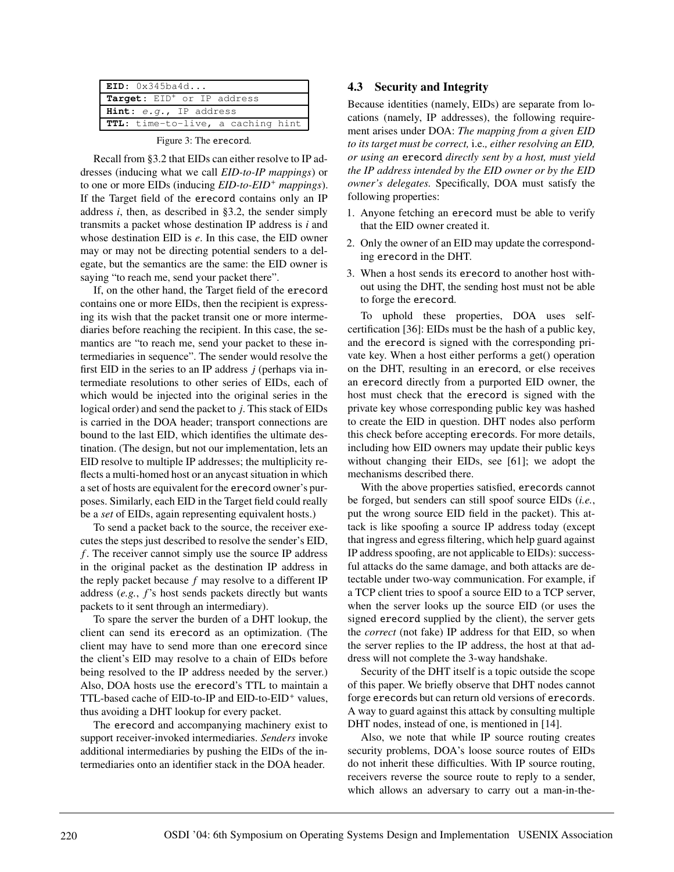| EID: 0x345ba4d                           |  |  |  |
|------------------------------------------|--|--|--|
| Target: EID <sup>+</sup> or IP address   |  |  |  |
| <b>Hint:</b> $e.q.$ , IP address         |  |  |  |
| <b>TTL:</b> time-to-live, a caching hint |  |  |  |
|                                          |  |  |  |

Figure 3: The erecord.

Recall from §3.2 that EIDs can either resolve to IP addresses (inducing what we call *EID-to-IP mappings*) or to one or more EIDs (inducing *EID-to-EID*<sup>+</sup> *mappings*). If the Target field of the erecord contains only an IP address *i*, then, as described in §3.2, the sender simply transmits a packet whose destination IP address is *i* and whose destination EID is *e*. In this case, the EID owner may or may not be directing potential senders to a delegate, but the semantics are the same: the EID owner is saying "to reach me, send your packet there".

If, on the other hand, the Target field of the erecord contains one or more EIDs, then the recipient is expressing its wish that the packet transit one or more intermediaries before reaching the recipient. In this case, the semantics are "to reach me, send your packet to these intermediaries in sequence". The sender would resolve the first EID in the series to an IP address *j* (perhaps via intermediate resolutions to other series of EIDs, each of which would be injected into the original series in the logical order) and send the packet to *j*. This stack of EIDs is carried in the DOA header; transport connections are bound to the last EID, which identifies the ultimate destination. (The design, but not our implementation, lets an EID resolve to multiple IP addresses; the multiplicity reflects a multi-homed host or an anycast situation in which a set of hosts are equivalent for the erecord owner's purposes. Similarly, each EID in the Target field could really be a *set* of EIDs, again representing equivalent hosts.)

To send a packet back to the source, the receiver executes the steps just described to resolve the sender's EID, *f* . The receiver cannot simply use the source IP address in the original packet as the destination IP address in the reply packet because *f* may resolve to a different IP address (*e.g.*, *f*'s host sends packets directly but wants packets to it sent through an intermediary).

To spare the server the burden of a DHT lookup, the client can send its erecord as an optimization. (The client may have to send more than one erecord since the client's EID may resolve to a chain of EIDs before being resolved to the IP address needed by the server.) Also, DOA hosts use the erecord's TTL to maintain a TTL-based cache of EID-to-IP and EID-to-EID<sup>+</sup> values, thus avoiding a DHT lookup for every packet.

The erecord and accompanying machinery exist to support receiver-invoked intermediaries. *Senders* invoke additional intermediaries by pushing the EIDs of the intermediaries onto an identifier stack in the DOA header.

### **4.3 Security and Integrity**

Because identities (namely, EIDs) are separate from locations (namely, IP addresses), the following requirement arises under DOA: *The mapping from a given EID to its target must be correct,* i.e.*, either resolving an EID, or using an* erecord *directly sent by a host, must yield the IP address intended by the EID owner or by the EID owner's delegates.* Specifically, DOA must satisfy the following properties:

- 1. Anyone fetching an erecord must be able to verify that the EID owner created it.
- 2. Only the owner of an EID may update the corresponding erecord in the DHT.
- 3. When a host sends its erecord to another host without using the DHT, the sending host must not be able to forge the erecord.

To uphold these properties, DOA uses selfcertification [36]: EIDs must be the hash of a public key, and the erecord is signed with the corresponding private key. When a host either performs a get() operation on the DHT, resulting in an erecord, or else receives an erecord directly from a purported EID owner, the host must check that the erecord is signed with the private key whose corresponding public key was hashed to create the EID in question. DHT nodes also perform this check before accepting erecords. For more details, including how EID owners may update their public keys without changing their EIDs, see [61]; we adopt the mechanisms described there.

With the above properties satisfied, erecords cannot be forged, but senders can still spoof source EIDs (*i.e.*, put the wrong source EID field in the packet). This attack is like spoofing a source IP address today (except that ingress and egress filtering, which help guard against IP address spoofing, are not applicable to EIDs): successful attacks do the same damage, and both attacks are detectable under two-way communication. For example, if a TCP client tries to spoof a source EID to a TCP server, when the server looks up the source EID (or uses the signed erecord supplied by the client), the server gets the *correct* (not fake) IP address for that EID, so when the server replies to the IP address, the host at that address will not complete the 3-way handshake.

Security of the DHT itself is a topic outside the scope of this paper. We briefly observe that DHT nodes cannot forge erecords but can return old versions of erecords. A way to guard against this attack by consulting multiple DHT nodes, instead of one, is mentioned in [14].

Also, we note that while IP source routing creates security problems, DOA's loose source routes of EIDs do not inherit these difficulties. With IP source routing, receivers reverse the source route to reply to a sender, which allows an adversary to carry out a man-in-the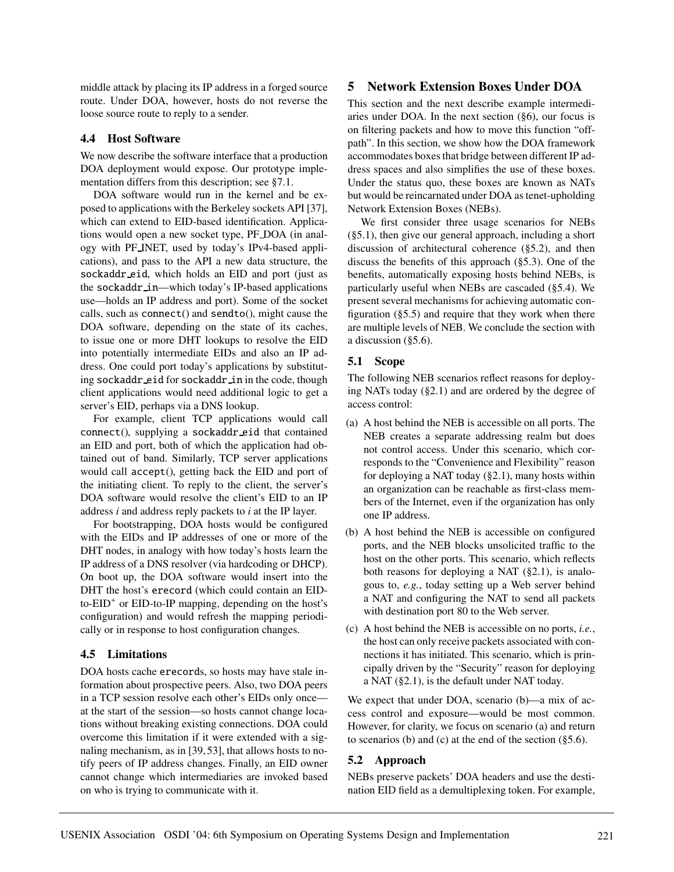middle attack by placing its IP address in a forged source route. Under DOA, however, hosts do not reverse the loose source route to reply to a sender.

### **4.4 Host Software**

We now describe the software interface that a production DOA deployment would expose. Our prototype implementation differs from this description; see §7.1.

DOA software would run in the kernel and be exposed to applications with the Berkeley sockets API [37], which can extend to EID-based identification. Applications would open a new socket type, PF DOA (in analogy with PF INET, used by today's IPv4-based applications), and pass to the API a new data structure, the sockaddr eid, which holds an EID and port (just as the sockaddr in—which today's IP-based applications use—holds an IP address and port). Some of the socket calls, such as connect() and sendto(), might cause the DOA software, depending on the state of its caches, to issue one or more DHT lookups to resolve the EID into potentially intermediate EIDs and also an IP address. One could port today's applications by substituting sockaddr\_eid for sockaddr\_in in the code, though client applications would need additional logic to get a server's EID, perhaps via a DNS lookup.

For example, client TCP applications would call connect(), supplying a sockaddr eid that contained an EID and port, both of which the application had obtained out of band. Similarly, TCP server applications would call accept(), getting back the EID and port of the initiating client. To reply to the client, the server's DOA software would resolve the client's EID to an IP address *i* and address reply packets to *i* at the IP layer.

For bootstrapping, DOA hosts would be configured with the EIDs and IP addresses of one or more of the DHT nodes, in analogy with how today's hosts learn the IP address of a DNS resolver (via hardcoding or DHCP). On boot up, the DOA software would insert into the DHT the host's erecord (which could contain an EID $to$ -EID<sup>+</sup> or EID-to-IP mapping, depending on the host's configuration) and would refresh the mapping periodically or in response to host configuration changes.

## **4.5 Limitations**

DOA hosts cache erecords, so hosts may have stale information about prospective peers. Also, two DOA peers in a TCP session resolve each other's EIDs only once at the start of the session—so hosts cannot change locations without breaking existing connections. DOA could overcome this limitation if it were extended with a signaling mechanism, as in [39, 53], that allows hosts to notify peers of IP address changes. Finally, an EID owner cannot change which intermediaries are invoked based on who is trying to communicate with it.

## **5 Network Extension Boxes Under DOA**

This section and the next describe example intermediaries under DOA. In the next section (§6), our focus is on filtering packets and how to move this function "offpath". In this section, we show how the DOA framework accommodates boxes that bridge between different IP address spaces and also simplifies the use of these boxes. Under the status quo, these boxes are known as NATs but would be reincarnated under DOA as tenet-upholding Network Extension Boxes (NEBs).

We first consider three usage scenarios for NEBs (§5.1), then give our general approach, including a short discussion of architectural coherence (§5.2), and then discuss the benefits of this approach (§5.3). One of the benefits, automatically exposing hosts behind NEBs, is particularly useful when NEBs are cascaded (§5.4). We present several mechanisms for achieving automatic configuration  $(\S 5.5)$  and require that they work when there are multiple levels of NEB. We conclude the section with a discussion (§5.6).

## **5.1 Scope**

The following NEB scenarios reflect reasons for deploying NATs today (§2.1) and are ordered by the degree of access control:

- (a) A host behind the NEB is accessible on all ports. The NEB creates a separate addressing realm but does not control access. Under this scenario, which corresponds to the "Convenience and Flexibility" reason for deploying a NAT today  $(\S 2.1)$ , many hosts within an organization can be reachable as first-class members of the Internet, even if the organization has only one IP address.
- (b) A host behind the NEB is accessible on configured ports, and the NEB blocks unsolicited traffic to the host on the other ports. This scenario, which reflects both reasons for deploying a NAT (§2.1), is analogous to, *e.g.*, today setting up a Web server behind a NAT and configuring the NAT to send all packets with destination port 80 to the Web server.
- (c) A host behind the NEB is accessible on no ports, *i.e.*, the host can only receive packets associated with connections it has initiated. This scenario, which is principally driven by the "Security" reason for deploying a NAT (§2.1), is the default under NAT today.

We expect that under DOA, scenario (b)—a mix of access control and exposure—would be most common. However, for clarity, we focus on scenario (a) and return to scenarios (b) and (c) at the end of the section  $(\S 5.6)$ .

### **5.2 Approach**

NEBs preserve packets' DOA headers and use the destination EID field as a demultiplexing token. For example,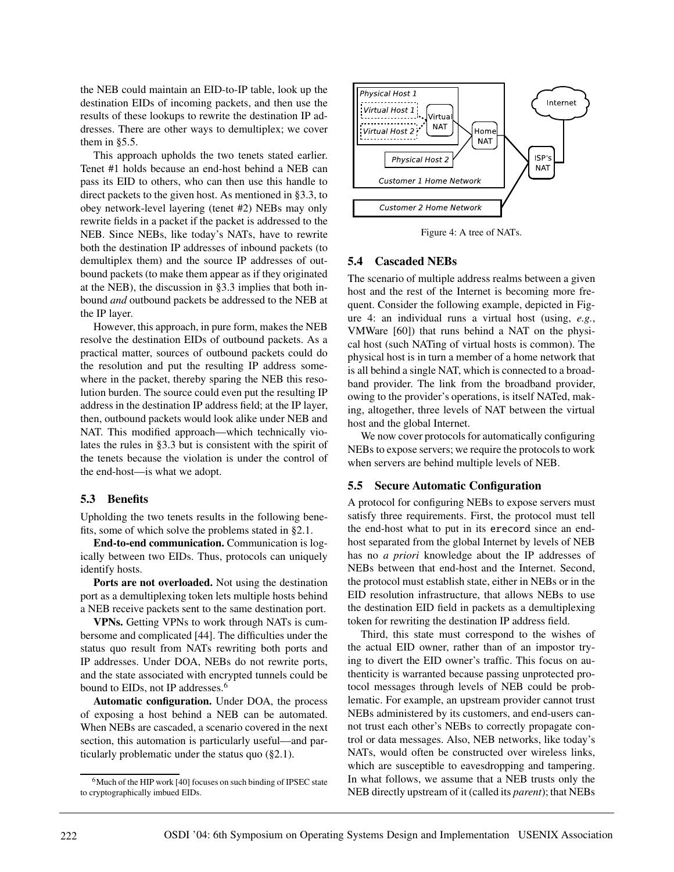the NEB could maintain an EID-to-IP table, look up the destination EIDs of incoming packets, and then use the results of these lookups to rewrite the destination IP addresses. There are other ways to demultiplex; we cover them in §5.5.

This approach upholds the two tenets stated earlier. Tenet #1 holds because an end-host behind a NEB can pass its EID to others, who can then use this handle to direct packets to the given host. As mentioned in §3.3, to obey network-level layering (tenet #2) NEBs may only rewrite fields in a packet if the packet is addressed to the NEB. Since NEBs, like today's NATs, have to rewrite both the destination IP addresses of inbound packets (to demultiplex them) and the source IP addresses of outbound packets (to make them appear as if they originated at the NEB), the discussion in §3.3 implies that both inbound *and* outbound packets be addressed to the NEB at the IP layer.

However, this approach, in pure form, makes the NEB resolve the destination EIDs of outbound packets. As a practical matter, sources of outbound packets could do the resolution and put the resulting IP address somewhere in the packet, thereby sparing the NEB this resolution burden. The source could even put the resulting IP address in the destination IP address field; at the IP layer, then, outbound packets would look alike under NEB and NAT. This modified approach—which technically violates the rules in §3.3 but is consistent with the spirit of the tenets because the violation is under the control of the end-host—is what we adopt.

#### **5.3 Benefits**

Upholding the two tenets results in the following benefits, some of which solve the problems stated in §2.1.

**End-to-end communication.** Communication is logically between two EIDs. Thus, protocols can uniquely identify hosts.

**Ports are not overloaded.** Not using the destination port as a demultiplexing token lets multiple hosts behind a NEB receive packets sent to the same destination port.

**VPNs.** Getting VPNs to work through NATs is cumbersome and complicated [44]. The difficulties under the status quo result from NATs rewriting both ports and IP addresses. Under DOA, NEBs do not rewrite ports, and the state associated with encrypted tunnels could be bound to EIDs, not IP addresses.<sup>6</sup>

**Automatic configuration.** Under DOA, the process of exposing a host behind a NEB can be automated. When NEBs are cascaded, a scenario covered in the next section, this automation is particularly useful—and particularly problematic under the status quo (§2.1).



Figure 4: A tree of NATs.

#### **5.4 Cascaded NEBs**

The scenario of multiple address realms between a given host and the rest of the Internet is becoming more frequent. Consider the following example, depicted in Figure 4: an individual runs a virtual host (using, *e.g.*, VMWare [60]) that runs behind a NAT on the physical host (such NATing of virtual hosts is common). The physical host is in turn a member of a home network that is all behind a single NAT, which is connected to a broadband provider. The link from the broadband provider, owing to the provider's operations, is itself NATed, making, altogether, three levels of NAT between the virtual host and the global Internet.

We now cover protocols for automatically configuring NEBs to expose servers; we require the protocols to work when servers are behind multiple levels of NEB.

#### **5.5 Secure Automatic Configuration**

A protocol for configuring NEBs to expose servers must satisfy three requirements. First, the protocol must tell the end-host what to put in its erecord since an endhost separated from the global Internet by levels of NEB has no *a priori* knowledge about the IP addresses of NEBs between that end-host and the Internet. Second, the protocol must establish state, either in NEBs or in the EID resolution infrastructure, that allows NEBs to use the destination EID field in packets as a demultiplexing token for rewriting the destination IP address field.

Third, this state must correspond to the wishes of the actual EID owner, rather than of an impostor trying to divert the EID owner's traffic. This focus on authenticity is warranted because passing unprotected protocol messages through levels of NEB could be problematic. For example, an upstream provider cannot trust NEBs administered by its customers, and end-users cannot trust each other's NEBs to correctly propagate control or data messages. Also, NEB networks, like today's NATs, would often be constructed over wireless links, which are susceptible to eavesdropping and tampering. In what follows, we assume that a NEB trusts only the NEB directly upstream of it (called its *parent*); that NEBs

<sup>6</sup>Much of the HIP work [40] focuses on such binding of IPSEC state to cryptographically imbued EIDs.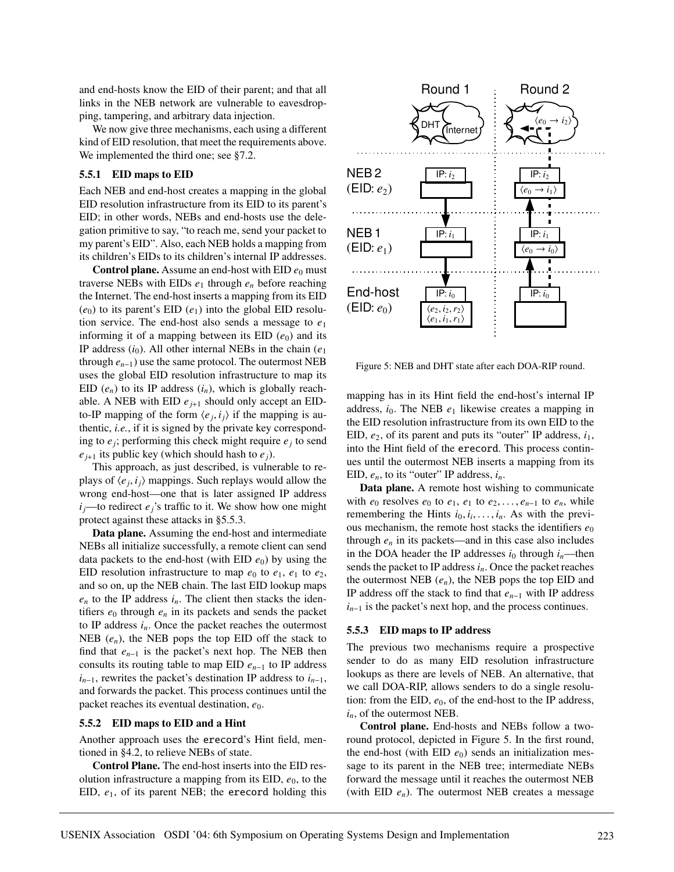and end-hosts know the EID of their parent; and that all links in the NEB network are vulnerable to eavesdropping, tampering, and arbitrary data injection.

We now give three mechanisms, each using a different kind of EID resolution, that meet the requirements above. We implemented the third one; see §7.2.

#### **5.5.1 EID maps to EID**

Each NEB and end-host creates a mapping in the global EID resolution infrastructure from its EID to its parent's EID; in other words, NEBs and end-hosts use the delegation primitive to say, "to reach me, send your packet to my parent's EID". Also, each NEB holds a mapping from its children's EIDs to its children's internal IP addresses.

**Control plane.** Assume an end-host with EID  $e_0$  must traverse NEBs with EIDs  $e_1$  through  $e_n$  before reaching the Internet. The end-host inserts a mapping from its EID  $(e_0)$  to its parent's EID  $(e_1)$  into the global EID resolution service. The end-host also sends a message to *e*<sup>1</sup> informing it of a mapping between its  $EID(e_0)$  and its IP address (*i*0). All other internal NEBs in the chain (*e*<sup>1</sup> through  $e_{n-1}$ ) use the same protocol. The outermost NEB uses the global EID resolution infrastructure to map its EID  $(e_n)$  to its IP address  $(i_n)$ , which is globally reachable. A NEB with EID  $e_{i+1}$  should only accept an EIDto-IP mapping of the form  $\langle e_i, i_j \rangle$  if the mapping is authentic, *i.e.*, if it is signed by the private key corresponding to  $e_j$ ; performing this check might require  $e_j$  to send  $e_{i+1}$  its public key (which should hash to  $e_i$ ).

This approach, as just described, is vulnerable to replays of  $\langle e_i, i_j \rangle$  mappings. Such replays would allow the wrong end-host—one that is later assigned IP address  $i_j$ —to redirect  $e_j$ 's traffic to it. We show how one might protect against these attacks in §5.5.3.

**Data plane.** Assuming the end-host and intermediate NEBs all initialize successfully, a remote client can send data packets to the end-host (with EID  $e_0$ ) by using the EID resolution infrastructure to map  $e_0$  to  $e_1$ ,  $e_1$  to  $e_2$ , and so on, up the NEB chain. The last EID lookup maps  $e_n$  to the IP address  $i_n$ . The client then stacks the identifiers  $e_0$  through  $e_n$  in its packets and sends the packet to IP address  $i_n$ . Once the packet reaches the outermost NEB  $(e_n)$ , the NEB pops the top EID off the stack to find that *e<sup>n</sup>*−<sup>1</sup> is the packet's next hop. The NEB then consults its routing table to map EID *e<sup>n</sup>*−<sup>1</sup> to IP address  $i_{n-1}$ , rewrites the packet's destination IP address to  $i_{n-1}$ , and forwards the packet. This process continues until the packet reaches its eventual destination,  $e_0$ .

#### **5.5.2 EID maps to EID and a Hint**

Another approach uses the erecord's Hint field, mentioned in §4.2, to relieve NEBs of state.

**Control Plane.** The end-host inserts into the EID resolution infrastructure a mapping from its EID,  $e_0$ , to the EID, *e*1, of its parent NEB; the erecord holding this



Figure 5: NEB and DHT state after each DOA-RIP round.

mapping has in its Hint field the end-host's internal IP address,  $i_0$ . The NEB  $e_1$  likewise creates a mapping in the EID resolution infrastructure from its own EID to the EID,  $e_2$ , of its parent and puts its "outer" IP address,  $i_1$ , into the Hint field of the erecord. This process continues until the outermost NEB inserts a mapping from its EID, *en*, to its "outer" IP address, *in*.

**Data plane.** A remote host wishing to communicate with  $e_0$  resolves  $e_0$  to  $e_1$ ,  $e_1$  to  $e_2$ ,...,  $e_{n-1}$  to  $e_n$ , while remembering the Hints  $i_0, i_1, \ldots, i_n$ . As with the previous mechanism, the remote host stacks the identifiers  $e_0$ through  $e_n$  in its packets—and in this case also includes in the DOA header the IP addresses  $i_0$  through  $i_n$ —then sends the packet to IP address *in*. Once the packet reaches the outermost NEB (*en*), the NEB pops the top EID and IP address off the stack to find that *e<sup>n</sup>*−<sup>1</sup> with IP address *i*<sub>*n*−1</sub> is the packet's next hop, and the process continues.

#### **5.5.3 EID maps to IP address**

The previous two mechanisms require a prospective sender to do as many EID resolution infrastructure lookups as there are levels of NEB. An alternative, that we call DOA-RIP, allows senders to do a single resolution: from the EID,  $e_0$ , of the end-host to the IP address, *in*, of the outermost NEB.

**Control plane.** End-hosts and NEBs follow a tworound protocol, depicted in Figure 5. In the first round, the end-host (with EID  $e_0$ ) sends an initialization message to its parent in the NEB tree; intermediate NEBs forward the message until it reaches the outermost NEB (with EID *en*). The outermost NEB creates a message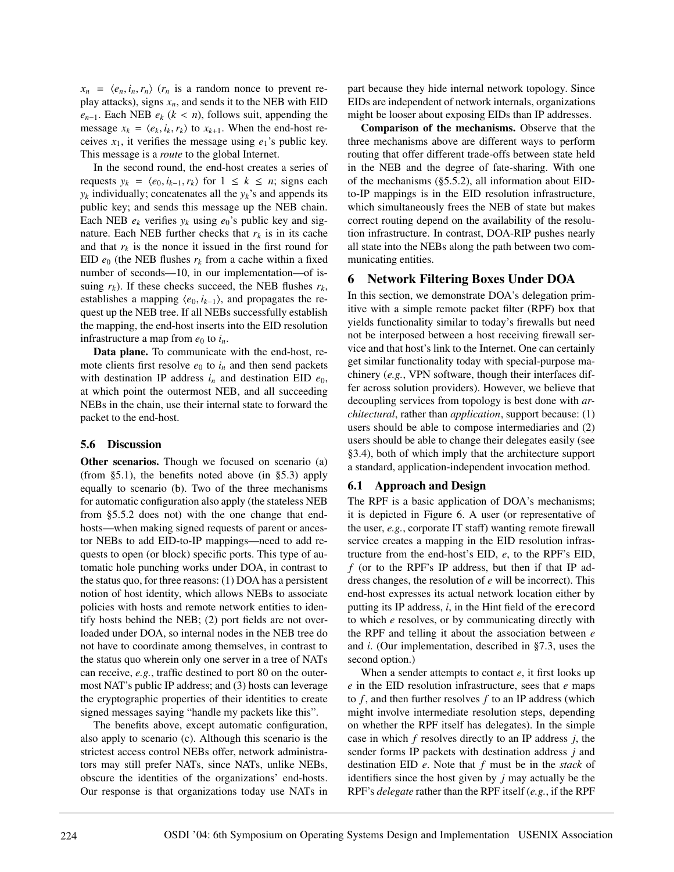$x_n = \langle e_n, i_n, r_n \rangle$  ( $r_n$  is a random nonce to prevent replay attacks), signs  $x_n$ , and sends it to the NEB with EID  $e_{n-1}$ . Each NEB  $e_k$  ( $k < n$ ), follows suit, appending the message  $x_k = \langle e_k, i_k, r_k \rangle$  to  $x_{k+1}$ . When the end-host receives  $x_1$ , it verifies the message using  $e_1$ 's public key. This message is a *route* to the global Internet.

In the second round, the end-host creates a series of requests  $y_k = \langle e_0, i_{k-1}, r_k \rangle$  for  $1 \leq k \leq n$ ; signs each  $y_k$  individually; concatenates all the  $y_k$ 's and appends its public key; and sends this message up the NEB chain. Each NEB  $e_k$  verifies  $y_k$  using  $e_0$ 's public key and signature. Each NEB further checks that  $r_k$  is in its cache and that  $r_k$  is the nonce it issued in the first round for EID  $e_0$  (the NEB flushes  $r_k$  from a cache within a fixed number of seconds—10, in our implementation—of issuing  $r_k$ ). If these checks succeed, the NEB flushes  $r_k$ , establishes a mapping  $\langle e_0, i_{k-1} \rangle$ , and propagates the request up the NEB tree. If all NEBs successfully establish the mapping, the end-host inserts into the EID resolution infrastructure a map from  $e_0$  to  $i_n$ .

**Data plane.** To communicate with the end-host, remote clients first resolve  $e_0$  to  $i_n$  and then send packets with destination IP address  $i_n$  and destination EID  $e_0$ , at which point the outermost NEB, and all succeeding NEBs in the chain, use their internal state to forward the packet to the end-host.

### **5.6 Discussion**

**Other scenarios.** Though we focused on scenario (a) (from §5.1), the benefits noted above (in §5.3) apply equally to scenario (b). Two of the three mechanisms for automatic configuration also apply (the stateless NEB from §5.5.2 does not) with the one change that endhosts—when making signed requests of parent or ancestor NEBs to add EID-to-IP mappings—need to add requests to open (or block) specific ports. This type of automatic hole punching works under DOA, in contrast to the status quo, for three reasons: (1) DOA has a persistent notion of host identity, which allows NEBs to associate policies with hosts and remote network entities to identify hosts behind the NEB; (2) port fields are not overloaded under DOA, so internal nodes in the NEB tree do not have to coordinate among themselves, in contrast to the status quo wherein only one server in a tree of NATs can receive, *e.g.*, traffic destined to port 80 on the outermost NAT's public IP address; and (3) hosts can leverage the cryptographic properties of their identities to create signed messages saying "handle my packets like this".

The benefits above, except automatic configuration, also apply to scenario (c). Although this scenario is the strictest access control NEBs offer, network administrators may still prefer NATs, since NATs, unlike NEBs, obscure the identities of the organizations' end-hosts. Our response is that organizations today use NATs in part because they hide internal network topology. Since EIDs are independent of network internals, organizations might be looser about exposing EIDs than IP addresses.

**Comparison of the mechanisms.** Observe that the three mechanisms above are different ways to perform routing that offer different trade-offs between state held in the NEB and the degree of fate-sharing. With one of the mechanisms (§5.5.2), all information about EIDto-IP mappings is in the EID resolution infrastructure, which simultaneously frees the NEB of state but makes correct routing depend on the availability of the resolution infrastructure. In contrast, DOA-RIP pushes nearly all state into the NEBs along the path between two communicating entities.

## **6 Network Filtering Boxes Under DOA**

In this section, we demonstrate DOA's delegation primitive with a simple remote packet filter (RPF) box that yields functionality similar to today's firewalls but need not be interposed between a host receiving firewall service and that host's link to the Internet. One can certainly get similar functionality today with special-purpose machinery (*e.g.*, VPN software, though their interfaces differ across solution providers). However, we believe that decoupling services from topology is best done with *architectural*, rather than *application*, support because: (1) users should be able to compose intermediaries and (2) users should be able to change their delegates easily (see §3.4), both of which imply that the architecture support a standard, application-independent invocation method.

### **6.1 Approach and Design**

The RPF is a basic application of DOA's mechanisms; it is depicted in Figure 6. A user (or representative of the user, *e.g.*, corporate IT staff) wanting remote firewall service creates a mapping in the EID resolution infrastructure from the end-host's EID, *e*, to the RPF's EID, *f* (or to the RPF's IP address, but then if that IP address changes, the resolution of *e* will be incorrect). This end-host expresses its actual network location either by putting its IP address, *i*, in the Hint field of the erecord to which *e* resolves, or by communicating directly with the RPF and telling it about the association between *e* and *i*. (Our implementation, described in §7.3, uses the second option.)

When a sender attempts to contact *e*, it first looks up *e* in the EID resolution infrastructure, sees that *e* maps to *f* , and then further resolves *f* to an IP address (which might involve intermediate resolution steps, depending on whether the RPF itself has delegates). In the simple case in which *f* resolves directly to an IP address *j*, the sender forms IP packets with destination address *j* and destination EID *e*. Note that *f* must be in the *stack* of identifiers since the host given by *j* may actually be the RPF's *delegate* rather than the RPF itself (*e.g.*, if the RPF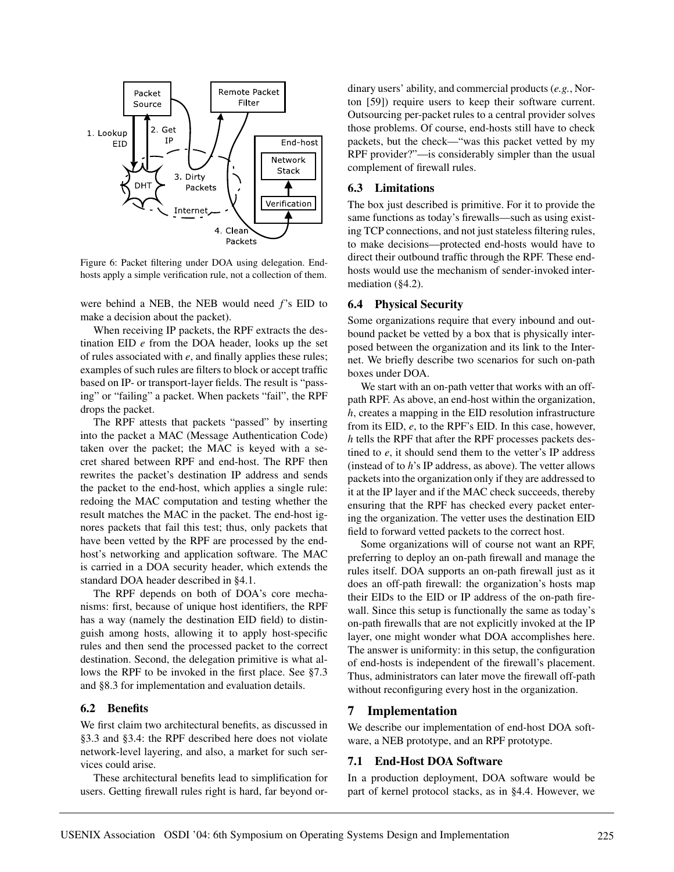

Figure 6: Packet filtering under DOA using delegation. Endhosts apply a simple verification rule, not a collection of them.

were behind a NEB, the NEB would need *f*'s EID to make a decision about the packet).

When receiving IP packets, the RPF extracts the destination EID *e* from the DOA header, looks up the set of rules associated with *e*, and finally applies these rules; examples of such rules are filters to block or accept traffic based on IP- or transport-layer fields. The result is "passing" or "failing" a packet. When packets "fail", the RPF drops the packet.

The RPF attests that packets "passed" by inserting into the packet a MAC (Message Authentication Code) taken over the packet; the MAC is keyed with a secret shared between RPF and end-host. The RPF then rewrites the packet's destination IP address and sends the packet to the end-host, which applies a single rule: redoing the MAC computation and testing whether the result matches the MAC in the packet. The end-host ignores packets that fail this test; thus, only packets that have been vetted by the RPF are processed by the endhost's networking and application software. The MAC is carried in a DOA security header, which extends the standard DOA header described in §4.1.

The RPF depends on both of DOA's core mechanisms: first, because of unique host identifiers, the RPF has a way (namely the destination EID field) to distinguish among hosts, allowing it to apply host-specific rules and then send the processed packet to the correct destination. Second, the delegation primitive is what allows the RPF to be invoked in the first place. See §7.3 and §8.3 for implementation and evaluation details.

### **6.2 Benefits**

We first claim two architectural benefits, as discussed in §3.3 and §3.4: the RPF described here does not violate network-level layering, and also, a market for such services could arise.

These architectural benefits lead to simplification for users. Getting firewall rules right is hard, far beyond ordinary users' ability, and commercial products (*e.g.*, Norton [59]) require users to keep their software current. Outsourcing per-packet rules to a central provider solves those problems. Of course, end-hosts still have to check packets, but the check—"was this packet vetted by my RPF provider?"—is considerably simpler than the usual complement of firewall rules.

### **6.3 Limitations**

The box just described is primitive. For it to provide the same functions as today's firewalls—such as using existing TCP connections, and not just stateless filtering rules, to make decisions—protected end-hosts would have to direct their outbound traffic through the RPF. These endhosts would use the mechanism of sender-invoked intermediation (§4.2).

#### **6.4 Physical Security**

Some organizations require that every inbound and outbound packet be vetted by a box that is physically interposed between the organization and its link to the Internet. We briefly describe two scenarios for such on-path boxes under DOA.

We start with an on-path vetter that works with an offpath RPF. As above, an end-host within the organization, *h*, creates a mapping in the EID resolution infrastructure from its EID, *e*, to the RPF's EID. In this case, however, *h* tells the RPF that after the RPF processes packets destined to *e*, it should send them to the vetter's IP address (instead of to *h*'s IP address, as above). The vetter allows packets into the organization only if they are addressed to it at the IP layer and if the MAC check succeeds, thereby ensuring that the RPF has checked every packet entering the organization. The vetter uses the destination EID field to forward vetted packets to the correct host.

Some organizations will of course not want an RPF, preferring to deploy an on-path firewall and manage the rules itself. DOA supports an on-path firewall just as it does an off-path firewall: the organization's hosts map their EIDs to the EID or IP address of the on-path firewall. Since this setup is functionally the same as today's on-path firewalls that are not explicitly invoked at the IP layer, one might wonder what DOA accomplishes here. The answer is uniformity: in this setup, the configuration of end-hosts is independent of the firewall's placement. Thus, administrators can later move the firewall off-path without reconfiguring every host in the organization.

### **7 Implementation**

We describe our implementation of end-host DOA software, a NEB prototype, and an RPF prototype.

## **7.1 End-Host DOA Software**

In a production deployment, DOA software would be part of kernel protocol stacks, as in §4.4. However, we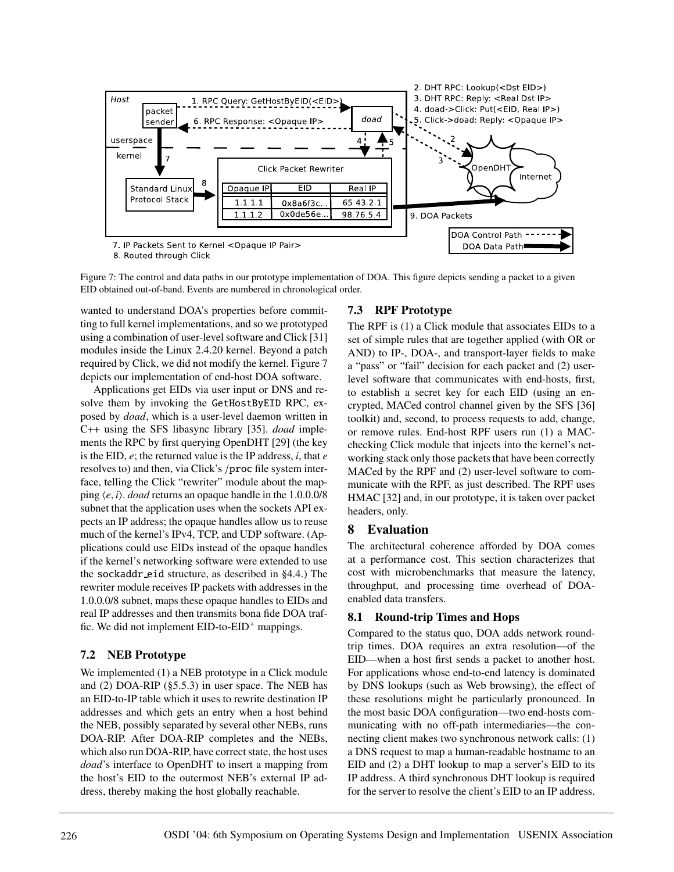

Figure 7: The control and data paths in our prototype implementation of DOA. This figure depicts sending a packet to a given EID obtained out-of-band. Events are numbered in chronological order.

wanted to understand DOA's properties before committing to full kernel implementations, and so we prototyped using a combination of user-level software and Click [31] modules inside the Linux 2.4.20 kernel. Beyond a patch required by Click, we did not modify the kernel. Figure 7 depicts our implementation of end-host DOA software.

Applications get EIDs via user input or DNS and resolve them by invoking the GetHostByEID RPC, exposed by *doad*, which is a user-level daemon written in C++ using the SFS libasync library [35]. *doad* implements the RPC by first querying OpenDHT [29] (the key is the EID, *e*; the returned value is the IP address, *i*, that *e* resolves to) and then, via Click's /proc file system interface, telling the Click "rewriter" module about the mapping  $\langle e, i \rangle$ . *doad* returns an opaque handle in the 1.0.0.0/8 subnet that the application uses when the sockets API expects an IP address; the opaque handles allow us to reuse much of the kernel's IPv4, TCP, and UDP software. (Applications could use EIDs instead of the opaque handles if the kernel's networking software were extended to use the sockaddr eid structure, as described in §4.4.) The rewriter module receives IP packets with addresses in the 1.0.0.0/8 subnet, maps these opaque handles to EIDs and real IP addresses and then transmits bona fide DOA traffic. We did not implement  $EID$ -to- $EID<sup>+</sup>$  mappings.

# **7.2 NEB Prototype**

We implemented (1) a NEB prototype in a Click module and (2) DOA-RIP (§5.5.3) in user space. The NEB has an EID-to-IP table which it uses to rewrite destination IP addresses and which gets an entry when a host behind the NEB, possibly separated by several other NEBs, runs DOA-RIP. After DOA-RIP completes and the NEBs, which also run DOA-RIP, have correct state, the host uses *doad*'s interface to OpenDHT to insert a mapping from the host's EID to the outermost NEB's external IP address, thereby making the host globally reachable.

# **7.3 RPF Prototype**

The RPF is (1) a Click module that associates EIDs to a set of simple rules that are together applied (with OR or AND) to IP-, DOA-, and transport-layer fields to make a "pass" or "fail" decision for each packet and (2) userlevel software that communicates with end-hosts, first, to establish a secret key for each EID (using an encrypted, MACed control channel given by the SFS [36] toolkit) and, second, to process requests to add, change, or remove rules. End-host RPF users run (1) a MACchecking Click module that injects into the kernel's networking stack only those packets that have been correctly MACed by the RPF and (2) user-level software to communicate with the RPF, as just described. The RPF uses HMAC [32] and, in our prototype, it is taken over packet headers, only.

# **8 Evaluation**

The architectural coherence afforded by DOA comes at a performance cost. This section characterizes that cost with microbenchmarks that measure the latency, throughput, and processing time overhead of DOAenabled data transfers.

## **8.1 Round-trip Times and Hops**

Compared to the status quo, DOA adds network roundtrip times. DOA requires an extra resolution—of the EID—when a host first sends a packet to another host. For applications whose end-to-end latency is dominated by DNS lookups (such as Web browsing), the effect of these resolutions might be particularly pronounced. In the most basic DOA configuration—two end-hosts communicating with no off-path intermediaries—the connecting client makes two synchronous network calls: (1) a DNS request to map a human-readable hostname to an EID and (2) a DHT lookup to map a server's EID to its IP address. A third synchronous DHT lookup is required for the server to resolve the client's EID to an IP address.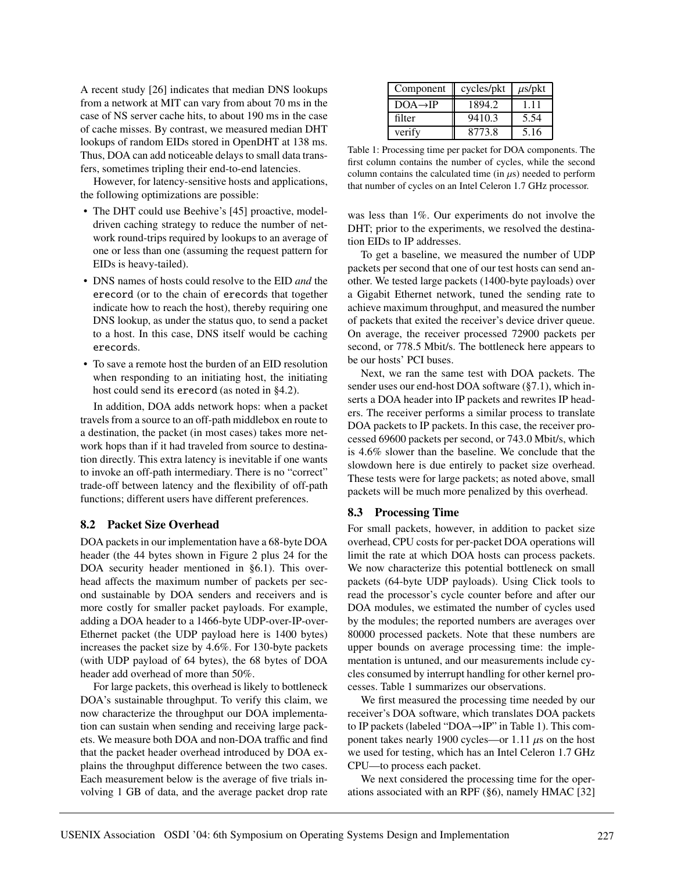A recent study [26] indicates that median DNS lookups from a network at MIT can vary from about 70 ms in the case of NS server cache hits, to about 190 ms in the case of cache misses. By contrast, we measured median DHT lookups of random EIDs stored in OpenDHT at 138 ms. Thus, DOA can add noticeable delays to small data transfers, sometimes tripling their end-to-end latencies.

However, for latency-sensitive hosts and applications, the following optimizations are possible:

- The DHT could use Beehive's [45] proactive, modeldriven caching strategy to reduce the number of network round-trips required by lookups to an average of one or less than one (assuming the request pattern for EIDs is heavy-tailed).
- DNS names of hosts could resolve to the EID *and* the erecord (or to the chain of erecords that together indicate how to reach the host), thereby requiring one DNS lookup, as under the status quo, to send a packet to a host. In this case, DNS itself would be caching erecords.
- To save a remote host the burden of an EID resolution when responding to an initiating host, the initiating host could send its erecord (as noted in §4.2).

In addition, DOA adds network hops: when a packet travels from a source to an off-path middlebox en route to a destination, the packet (in most cases) takes more network hops than if it had traveled from source to destination directly. This extra latency is inevitable if one wants to invoke an off-path intermediary. There is no "correct" trade-off between latency and the flexibility of off-path functions; different users have different preferences.

### **8.2 Packet Size Overhead**

DOA packets in our implementation have a 68-byte DOA header (the 44 bytes shown in Figure 2 plus 24 for the DOA security header mentioned in §6.1). This overhead affects the maximum number of packets per second sustainable by DOA senders and receivers and is more costly for smaller packet payloads. For example, adding a DOA header to a 1466-byte UDP-over-IP-over-Ethernet packet (the UDP payload here is 1400 bytes) increases the packet size by 4.6%. For 130-byte packets (with UDP payload of 64 bytes), the 68 bytes of DOA header add overhead of more than 50%.

For large packets, this overhead is likely to bottleneck DOA's sustainable throughput. To verify this claim, we now characterize the throughput our DOA implementation can sustain when sending and receiving large packets. We measure both DOA and non-DOA traffic and find that the packet header overhead introduced by DOA explains the throughput difference between the two cases. Each measurement below is the average of five trials involving 1 GB of data, and the average packet drop rate

| Component            | cycles/pkt | $\mu$ s/pkt |
|----------------------|------------|-------------|
| $DOA \rightarrow IP$ | 1894.2     | 111         |
| filter               | 9410.3     | 5.54        |
| verify               | 8773.8     | 5.16        |

Table 1: Processing time per packet for DOA components. The first column contains the number of cycles, while the second column contains the calculated time (in  $\mu$ s) needed to perform that number of cycles on an Intel Celeron 1.7 GHz processor.

was less than 1%. Our experiments do not involve the DHT; prior to the experiments, we resolved the destination EIDs to IP addresses.

To get a baseline, we measured the number of UDP packets per second that one of our test hosts can send another. We tested large packets (1400-byte payloads) over a Gigabit Ethernet network, tuned the sending rate to achieve maximum throughput, and measured the number of packets that exited the receiver's device driver queue. On average, the receiver processed 72900 packets per second, or 778.5 Mbit/s. The bottleneck here appears to be our hosts' PCI buses.

Next, we ran the same test with DOA packets. The sender uses our end-host DOA software (§7.1), which inserts a DOA header into IP packets and rewrites IP headers. The receiver performs a similar process to translate DOA packets to IP packets. In this case, the receiver processed 69600 packets per second, or 743.0 Mbit/s, which is 4.6% slower than the baseline. We conclude that the slowdown here is due entirely to packet size overhead. These tests were for large packets; as noted above, small packets will be much more penalized by this overhead.

### **8.3 Processing Time**

For small packets, however, in addition to packet size overhead, CPU costs for per-packet DOA operations will limit the rate at which DOA hosts can process packets. We now characterize this potential bottleneck on small packets (64-byte UDP payloads). Using Click tools to read the processor's cycle counter before and after our DOA modules, we estimated the number of cycles used by the modules; the reported numbers are averages over 80000 processed packets. Note that these numbers are upper bounds on average processing time: the implementation is untuned, and our measurements include cycles consumed by interrupt handling for other kernel processes. Table 1 summarizes our observations.

We first measured the processing time needed by our receiver's DOA software, which translates DOA packets to IP packets (labeled "DOA→IP" in Table 1). This component takes nearly 1900 cycles—or 1.11  $\mu$ s on the host we used for testing, which has an Intel Celeron 1.7 GHz CPU—to process each packet.

We next considered the processing time for the operations associated with an RPF (§6), namely HMAC [32]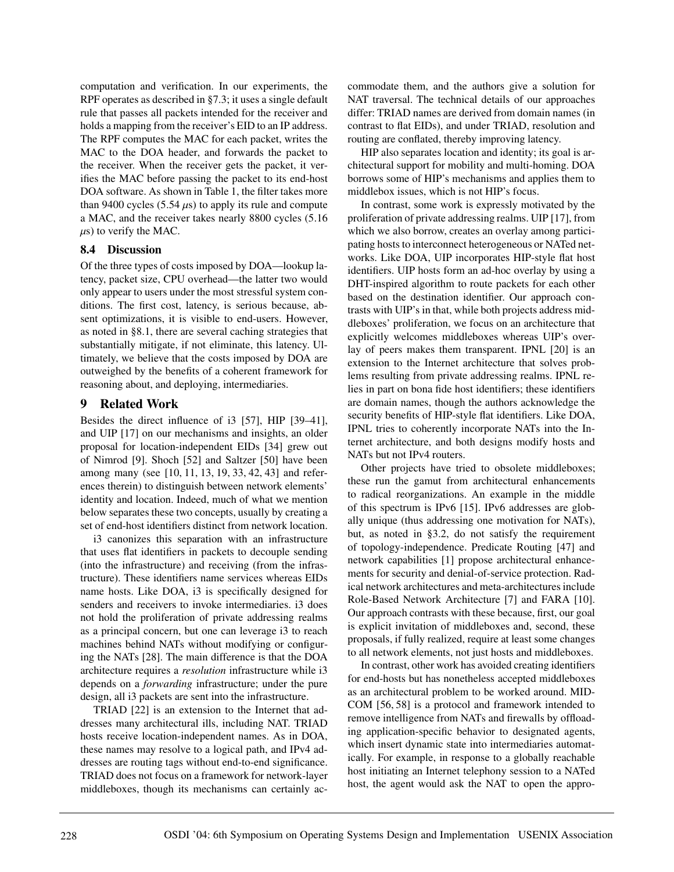computation and verification. In our experiments, the RPF operates as described in §7.3; it uses a single default rule that passes all packets intended for the receiver and holds a mapping from the receiver's EID to an IP address. The RPF computes the MAC for each packet, writes the MAC to the DOA header, and forwards the packet to the receiver. When the receiver gets the packet, it verifies the MAC before passing the packet to its end-host DOA software. As shown in Table 1, the filter takes more than 9400 cycles (5.54  $\mu$ s) to apply its rule and compute a MAC, and the receiver takes nearly 8800 cycles (5.16  $\mu$ s) to verify the MAC.

### **8.4 Discussion**

Of the three types of costs imposed by DOA—lookup latency, packet size, CPU overhead—the latter two would only appear to users under the most stressful system conditions. The first cost, latency, is serious because, absent optimizations, it is visible to end-users. However, as noted in §8.1, there are several caching strategies that substantially mitigate, if not eliminate, this latency. Ultimately, we believe that the costs imposed by DOA are outweighed by the benefits of a coherent framework for reasoning about, and deploying, intermediaries.

### **9 Related Work**

Besides the direct influence of i3 [57], HIP [39–41], and UIP [17] on our mechanisms and insights, an older proposal for location-independent EIDs [34] grew out of Nimrod [9]. Shoch [52] and Saltzer [50] have been among many (see [10, 11, 13, 19, 33, 42, 43] and references therein) to distinguish between network elements' identity and location. Indeed, much of what we mention below separates these two concepts, usually by creating a set of end-host identifiers distinct from network location.

i3 canonizes this separation with an infrastructure that uses flat identifiers in packets to decouple sending (into the infrastructure) and receiving (from the infrastructure). These identifiers name services whereas EIDs name hosts. Like DOA, i3 is specifically designed for senders and receivers to invoke intermediaries. i3 does not hold the proliferation of private addressing realms as a principal concern, but one can leverage i3 to reach machines behind NATs without modifying or configuring the NATs [28]. The main difference is that the DOA architecture requires a *resolution* infrastructure while i3 depends on a *forwarding* infrastructure; under the pure design, all i3 packets are sent into the infrastructure.

TRIAD [22] is an extension to the Internet that addresses many architectural ills, including NAT. TRIAD hosts receive location-independent names. As in DOA, these names may resolve to a logical path, and IPv4 addresses are routing tags without end-to-end significance. TRIAD does not focus on a framework for network-layer middleboxes, though its mechanisms can certainly accommodate them, and the authors give a solution for NAT traversal. The technical details of our approaches differ: TRIAD names are derived from domain names (in contrast to flat EIDs), and under TRIAD, resolution and routing are conflated, thereby improving latency.

HIP also separates location and identity; its goal is architectural support for mobility and multi-homing. DOA borrows some of HIP's mechanisms and applies them to middlebox issues, which is not HIP's focus.

In contrast, some work is expressly motivated by the proliferation of private addressing realms. UIP [17], from which we also borrow, creates an overlay among participating hosts to interconnect heterogeneous or NATed networks. Like DOA, UIP incorporates HIP-style flat host identifiers. UIP hosts form an ad-hoc overlay by using a DHT-inspired algorithm to route packets for each other based on the destination identifier. Our approach contrasts with UIP's in that, while both projects address middleboxes' proliferation, we focus on an architecture that explicitly welcomes middleboxes whereas UIP's overlay of peers makes them transparent. IPNL [20] is an extension to the Internet architecture that solves problems resulting from private addressing realms. IPNL relies in part on bona fide host identifiers; these identifiers are domain names, though the authors acknowledge the security benefits of HIP-style flat identifiers. Like DOA, IPNL tries to coherently incorporate NATs into the Internet architecture, and both designs modify hosts and NATs but not IPv4 routers.

Other projects have tried to obsolete middleboxes; these run the gamut from architectural enhancements to radical reorganizations. An example in the middle of this spectrum is IPv6 [15]. IPv6 addresses are globally unique (thus addressing one motivation for NATs), but, as noted in §3.2, do not satisfy the requirement of topology-independence. Predicate Routing [47] and network capabilities [1] propose architectural enhancements for security and denial-of-service protection. Radical network architectures and meta-architectures include Role-Based Network Architecture [7] and FARA [10]. Our approach contrasts with these because, first, our goal is explicit invitation of middleboxes and, second, these proposals, if fully realized, require at least some changes to all network elements, not just hosts and middleboxes.

In contrast, other work has avoided creating identifiers for end-hosts but has nonetheless accepted middleboxes as an architectural problem to be worked around. MID-COM [56, 58] is a protocol and framework intended to remove intelligence from NATs and firewalls by offloading application-specific behavior to designated agents, which insert dynamic state into intermediaries automatically. For example, in response to a globally reachable host initiating an Internet telephony session to a NATed host, the agent would ask the NAT to open the appro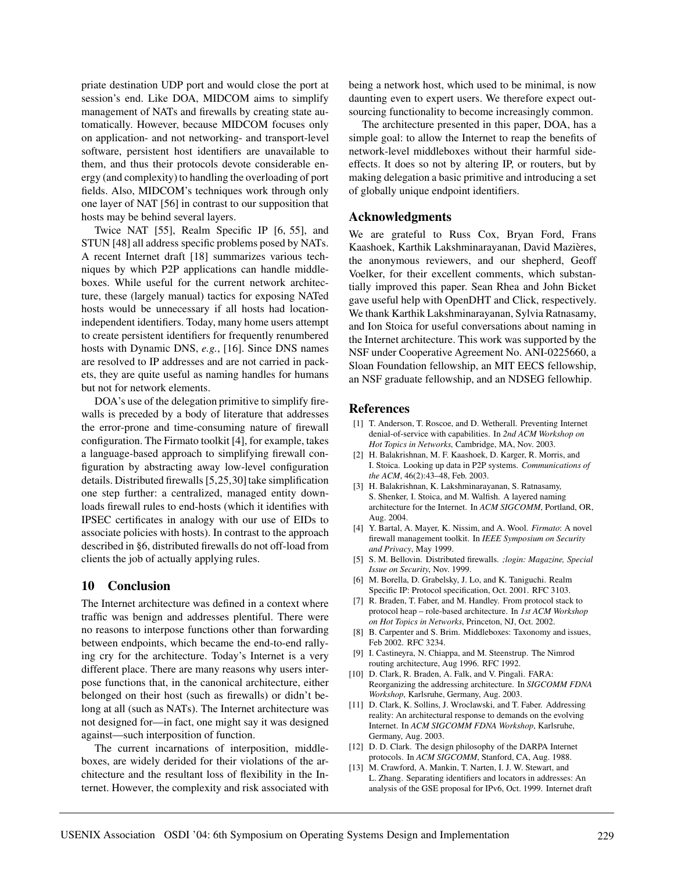priate destination UDP port and would close the port at session's end. Like DOA, MIDCOM aims to simplify management of NATs and firewalls by creating state automatically. However, because MIDCOM focuses only on application- and not networking- and transport-level software, persistent host identifiers are unavailable to them, and thus their protocols devote considerable energy (and complexity) to handling the overloading of port fields. Also, MIDCOM's techniques work through only one layer of NAT [56] in contrast to our supposition that hosts may be behind several layers.

Twice NAT [55], Realm Specific IP [6, 55], and STUN [48] all address specific problems posed by NATs. A recent Internet draft [18] summarizes various techniques by which P2P applications can handle middleboxes. While useful for the current network architecture, these (largely manual) tactics for exposing NATed hosts would be unnecessary if all hosts had locationindependent identifiers. Today, many home users attempt to create persistent identifiers for frequently renumbered hosts with Dynamic DNS, *e.g.*, [16]. Since DNS names are resolved to IP addresses and are not carried in packets, they are quite useful as naming handles for humans but not for network elements.

DOA's use of the delegation primitive to simplify firewalls is preceded by a body of literature that addresses the error-prone and time-consuming nature of firewall configuration. The Firmato toolkit [4], for example, takes a language-based approach to simplifying firewall configuration by abstracting away low-level configuration details. Distributed firewalls [5,25,30] take simplification one step further: a centralized, managed entity downloads firewall rules to end-hosts (which it identifies with IPSEC certificates in analogy with our use of EIDs to associate policies with hosts). In contrast to the approach described in §6, distributed firewalls do not off-load from clients the job of actually applying rules.

### **10 Conclusion**

The Internet architecture was defined in a context where traffic was benign and addresses plentiful. There were no reasons to interpose functions other than forwarding between endpoints, which became the end-to-end rallying cry for the architecture. Today's Internet is a very different place. There are many reasons why users interpose functions that, in the canonical architecture, either belonged on their host (such as firewalls) or didn't belong at all (such as NATs). The Internet architecture was not designed for—in fact, one might say it was designed against—such interposition of function.

The current incarnations of interposition, middleboxes, are widely derided for their violations of the architecture and the resultant loss of flexibility in the Internet. However, the complexity and risk associated with being a network host, which used to be minimal, is now daunting even to expert users. We therefore expect outsourcing functionality to become increasingly common.

The architecture presented in this paper, DOA, has a simple goal: to allow the Internet to reap the benefits of network-level middleboxes without their harmful sideeffects. It does so not by altering IP, or routers, but by making delegation a basic primitive and introducing a set of globally unique endpoint identifiers.

## **Acknowledgments**

We are grateful to Russ Cox, Bryan Ford, Frans Kaashoek, Karthik Lakshminarayanan, David Mazières, the anonymous reviewers, and our shepherd, Geoff Voelker, for their excellent comments, which substantially improved this paper. Sean Rhea and John Bicket gave useful help with OpenDHT and Click, respectively. We thank Karthik Lakshminarayanan, Sylvia Ratnasamy, and Ion Stoica for useful conversations about naming in the Internet architecture. This work was supported by the NSF under Cooperative Agreement No. ANI-0225660, a Sloan Foundation fellowship, an MIT EECS fellowship, an NSF graduate fellowship, and an NDSEG fellowhip.

### **References**

- [1] T. Anderson, T. Roscoe, and D. Wetherall. Preventing Internet denial-of-service with capabilities. In *2nd ACM Workshop on Hot Topics in Networks*, Cambridge, MA, Nov. 2003.
- [2] H. Balakrishnan, M. F. Kaashoek, D. Karger, R. Morris, and I. Stoica. Looking up data in P2P systems. *Communications of the ACM*, 46(2):43–48, Feb. 2003.
- [3] H. Balakrishnan, K. Lakshminarayanan, S. Ratnasamy, S. Shenker, I. Stoica, and M. Walfish. A layered naming architecture for the Internet. In *ACM SIGCOMM*, Portland, OR, Aug. 2004.
- [4] Y. Bartal, A. Mayer, K. Nissim, and A. Wool. *Firmato*: A novel firewall management toolkit. In *IEEE Symposium on Security and Privacy*, May 1999.
- [5] S. M. Bellovin. Distributed firewalls. *;login: Magazine, Special Issue on Security*, Nov. 1999.
- [6] M. Borella, D. Grabelsky, J. Lo, and K. Taniguchi. Realm Specific IP: Protocol specification, Oct. 2001. RFC 3103.
- [7] R. Braden, T. Faber, and M. Handley. From protocol stack to protocol heap – role-based architecture. In *1st ACM Workshop on Hot Topics in Networks*, Princeton, NJ, Oct. 2002.
- [8] B. Carpenter and S. Brim. Middleboxes: Taxonomy and issues, Feb 2002. RFC 3234.
- [9] I. Castineyra, N. Chiappa, and M. Steenstrup. The Nimrod routing architecture, Aug 1996. RFC 1992.
- [10] D. Clark, R. Braden, A. Falk, and V. Pingali. FARA: Reorganizing the addressing architecture. In *SIGCOMM FDNA Workshop*, Karlsruhe, Germany, Aug. 2003.
- [11] D. Clark, K. Sollins, J. Wroclawski, and T. Faber. Addressing reality: An architectural response to demands on the evolving Internet. In *ACM SIGCOMM FDNA Workshop*, Karlsruhe, Germany, Aug. 2003.
- [12] D. D. Clark. The design philosophy of the DARPA Internet protocols. In *ACM SIGCOMM*, Stanford, CA, Aug. 1988.
- [13] M. Crawford, A. Mankin, T. Narten, I. J. W. Stewart, and L. Zhang. Separating identifiers and locators in addresses: An analysis of the GSE proposal for IPv6, Oct. 1999. Internet draft